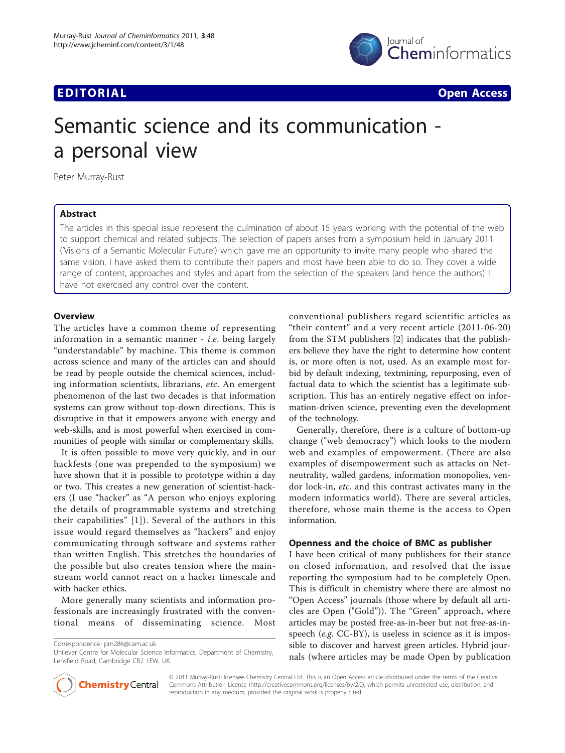# EDITORIAL AND CONTROL CONTROL CONTROL CONTROL CONTROL CONTROL CONTROL CONTROL CONTROL CONTROL CONTROL CONTROL CONTROL CONTROL CONTROL CONTROL CONTROL CONTROL CONTROL CONTROL CONTROL CONTROL CONTROL CONTROL CONTROL CONTROL



# Semantic science and its communication a personal view

Peter Murray-Rust

## Abstract

The articles in this special issue represent the culmination of about 15 years working with the potential of the web to support chemical and related subjects. The selection of papers arises from a symposium held in January 2011 ('Visions of a Semantic Molecular Future') which gave me an opportunity to invite many people who shared the same vision. I have asked them to contribute their papers and most have been able to do so. They cover a wide range of content, approaches and styles and apart from the selection of the speakers (and hence the authors) I have not exercised any control over the content.

### **Overview**

The articles have a common theme of representing information in a semantic manner  $-$  *i.e.* being largely "understandable" by machine. This theme is common across science and many of the articles can and should be read by people outside the chemical sciences, including information scientists, librarians, etc. An emergent phenomenon of the last two decades is that information systems can grow without top-down directions. This is disruptive in that it empowers anyone with energy and web-skills, and is most powerful when exercised in communities of people with similar or complementary skills.

It is often possible to move very quickly, and in our hackfests (one was prepended to the symposium) we have shown that it is possible to prototype within a day or two. This creates a new generation of scientist-hackers (I use "hacker" as "A person who enjoys exploring the details of programmable systems and stretching their capabilities" [[1](#page-5-0)]). Several of the authors in this issue would regard themselves as "hackers" and enjoy communicating through software and systems rather than written English. This stretches the boundaries of the possible but also creates tension where the mainstream world cannot react on a hacker timescale and with hacker ethics.

More generally many scientists and information professionals are increasingly frustrated with the conventional means of disseminating science. Most

Correspondence: [pm286@cam.ac.uk](mailto:pm286@cam.ac.uk)

conventional publishers regard scientific articles as "their content" and a very recent article (2011-06-20) from the STM publishers [\[2](#page-5-0)] indicates that the publishers believe they have the right to determine how content is, or more often is not, used. As an example most forbid by default indexing, textmining, repurposing, even of factual data to which the scientist has a legitimate subscription. This has an entirely negative effect on information-driven science, preventing even the development of the technology.

Generally, therefore, there is a culture of bottom-up change ("web democracy") which looks to the modern web and examples of empowerment. (There are also examples of disempowerment such as attacks on Netneutrality, walled gardens, information monopolies, vendor lock-in, etc. and this contrast activates many in the modern informatics world). There are several articles, therefore, whose main theme is the access to Open information.

### Openness and the choice of BMC as publisher

I have been critical of many publishers for their stance on closed information, and resolved that the issue reporting the symposium had to be completely Open. This is difficult in chemistry where there are almost no "Open Access" journals (those where by default all articles are Open ("Gold")). The "Green" approach, where articles may be posted free-as-in-beer but not free-as-inspeech (e.g. CC-BY), is useless in science as it is impossible to discover and harvest green articles. Hybrid journals (where articles may be made Open by publication



© 2011 Murray-Rust; licensee Chemistry Central Ltd. This is an Open Access article distributed under the terms of the Creative Commons Attribution License [\(http://creativecommons.org/licenses/by/2.0](http://creativecommons.org/licenses/by/2.0)), which permits unrestricted use, distribution, and reproduction in any medium, provided the original work is properly cited.

Unilever Centre for Molecular Science Informatics, Department of Chemistry, Lensfield Road, Cambridge CB2 1EW, UK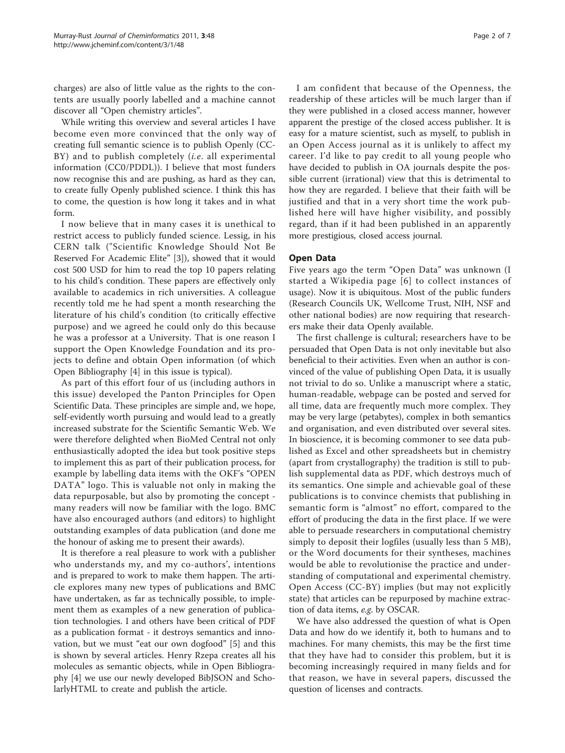charges) are also of little value as the rights to the contents are usually poorly labelled and a machine cannot discover all "Open chemistry articles".

While writing this overview and several articles I have become even more convinced that the only way of creating full semantic science is to publish Openly (CC-BY) and to publish completely  $(i.e.$  all experimental information (CC0/PDDL)). I believe that most funders now recognise this and are pushing, as hard as they can, to create fully Openly published science. I think this has to come, the question is how long it takes and in what form.

I now believe that in many cases it is unethical to restrict access to publicly funded science. Lessig, in his CERN talk ("Scientific Knowledge Should Not Be Reserved For Academic Elite" [\[3\]](#page-5-0)), showed that it would cost 500 USD for him to read the top 10 papers relating to his child's condition. These papers are effectively only available to academics in rich universities. A colleague recently told me he had spent a month researching the literature of his child's condition (to critically effective purpose) and we agreed he could only do this because he was a professor at a University. That is one reason I support the Open Knowledge Foundation and its projects to define and obtain Open information (of which Open Bibliography [\[4\]](#page-5-0) in this issue is typical).

As part of this effort four of us (including authors in this issue) developed the Panton Principles for Open Scientific Data. These principles are simple and, we hope, self-evidently worth pursuing and would lead to a greatly increased substrate for the Scientific Semantic Web. We were therefore delighted when BioMed Central not only enthusiastically adopted the idea but took positive steps to implement this as part of their publication process, for example by labelling data items with the OKF's "OPEN DATA" logo. This is valuable not only in making the data repurposable, but also by promoting the concept many readers will now be familiar with the logo. BMC have also encouraged authors (and editors) to highlight outstanding examples of data publication (and done me the honour of asking me to present their awards).

It is therefore a real pleasure to work with a publisher who understands my, and my co-authors', intentions and is prepared to work to make them happen. The article explores many new types of publications and BMC have undertaken, as far as technically possible, to implement them as examples of a new generation of publication technologies. I and others have been critical of PDF as a publication format - it destroys semantics and innovation, but we must "eat our own dogfood" [\[5](#page-5-0)] and this is shown by several articles. Henry Rzepa creates all his molecules as semantic objects, while in Open Bibliography [\[4\]](#page-5-0) we use our newly developed BibJSON and ScholarlyHTML to create and publish the article.

I am confident that because of the Openness, the readership of these articles will be much larger than if they were published in a closed access manner, however apparent the prestige of the closed access publisher. It is easy for a mature scientist, such as myself, to publish in an Open Access journal as it is unlikely to affect my career. I'd like to pay credit to all young people who have decided to publish in OA journals despite the possible current (irrational) view that this is detrimental to how they are regarded. I believe that their faith will be justified and that in a very short time the work published here will have higher visibility, and possibly regard, than if it had been published in an apparently more prestigious, closed access journal.

### Open Data

Five years ago the term "Open Data" was unknown (I started a Wikipedia page [[6\]](#page-5-0) to collect instances of usage). Now it is ubiquitous. Most of the public funders (Research Councils UK, Wellcome Trust, NIH, NSF and other national bodies) are now requiring that researchers make their data Openly available.

The first challenge is cultural; researchers have to be persuaded that Open Data is not only inevitable but also beneficial to their activities. Even when an author is convinced of the value of publishing Open Data, it is usually not trivial to do so. Unlike a manuscript where a static, human-readable, webpage can be posted and served for all time, data are frequently much more complex. They may be very large (petabytes), complex in both semantics and organisation, and even distributed over several sites. In bioscience, it is becoming commoner to see data published as Excel and other spreadsheets but in chemistry (apart from crystallography) the tradition is still to publish supplemental data as PDF, which destroys much of its semantics. One simple and achievable goal of these publications is to convince chemists that publishing in semantic form is "almost" no effort, compared to the effort of producing the data in the first place. If we were able to persuade researchers in computational chemistry simply to deposit their logfiles (usually less than 5 MB), or the Word documents for their syntheses, machines would be able to revolutionise the practice and understanding of computational and experimental chemistry. Open Access (CC-BY) implies (but may not explicitly state) that articles can be repurposed by machine extraction of data items, e.g. by OSCAR.

We have also addressed the question of what is Open Data and how do we identify it, both to humans and to machines. For many chemists, this may be the first time that they have had to consider this problem, but it is becoming increasingly required in many fields and for that reason, we have in several papers, discussed the question of licenses and contracts.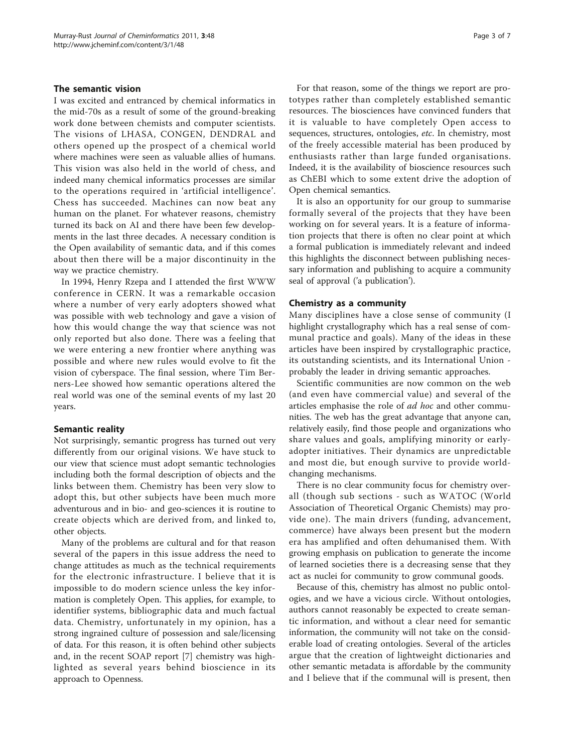#### The semantic vision

I was excited and entranced by chemical informatics in the mid-70s as a result of some of the ground-breaking work done between chemists and computer scientists. The visions of LHASA, CONGEN, DENDRAL and others opened up the prospect of a chemical world where machines were seen as valuable allies of humans. This vision was also held in the world of chess, and indeed many chemical informatics processes are similar to the operations required in 'artificial intelligence'. Chess has succeeded. Machines can now beat any human on the planet. For whatever reasons, chemistry turned its back on AI and there have been few developments in the last three decades. A necessary condition is the Open availability of semantic data, and if this comes about then there will be a major discontinuity in the way we practice chemistry.

In 1994, Henry Rzepa and I attended the first WWW conference in CERN. It was a remarkable occasion where a number of very early adopters showed what was possible with web technology and gave a vision of how this would change the way that science was not only reported but also done. There was a feeling that we were entering a new frontier where anything was possible and where new rules would evolve to fit the vision of cyberspace. The final session, where Tim Berners-Lee showed how semantic operations altered the real world was one of the seminal events of my last 20 years.

### Semantic reality

Not surprisingly, semantic progress has turned out very differently from our original visions. We have stuck to our view that science must adopt semantic technologies including both the formal description of objects and the links between them. Chemistry has been very slow to adopt this, but other subjects have been much more adventurous and in bio- and geo-sciences it is routine to create objects which are derived from, and linked to, other objects.

Many of the problems are cultural and for that reason several of the papers in this issue address the need to change attitudes as much as the technical requirements for the electronic infrastructure. I believe that it is impossible to do modern science unless the key information is completely Open. This applies, for example, to identifier systems, bibliographic data and much factual data. Chemistry, unfortunately in my opinion, has a strong ingrained culture of possession and sale/licensing of data. For this reason, it is often behind other subjects and, in the recent SOAP report [\[7](#page-6-0)] chemistry was highlighted as several years behind bioscience in its approach to Openness.

For that reason, some of the things we report are prototypes rather than completely established semantic resources. The biosciences have convinced funders that it is valuable to have completely Open access to sequences, structures, ontologies, etc. In chemistry, most of the freely accessible material has been produced by enthusiasts rather than large funded organisations. Indeed, it is the availability of bioscience resources such as ChEBI which to some extent drive the adoption of Open chemical semantics.

It is also an opportunity for our group to summarise formally several of the projects that they have been working on for several years. It is a feature of information projects that there is often no clear point at which a formal publication is immediately relevant and indeed this highlights the disconnect between publishing necessary information and publishing to acquire a community seal of approval ('a publication').

#### Chemistry as a community

Many disciplines have a close sense of community (I highlight crystallography which has a real sense of communal practice and goals). Many of the ideas in these articles have been inspired by crystallographic practice, its outstanding scientists, and its International Union probably the leader in driving semantic approaches.

Scientific communities are now common on the web (and even have commercial value) and several of the articles emphasise the role of ad hoc and other communities. The web has the great advantage that anyone can, relatively easily, find those people and organizations who share values and goals, amplifying minority or earlyadopter initiatives. Their dynamics are unpredictable and most die, but enough survive to provide worldchanging mechanisms.

There is no clear community focus for chemistry overall (though sub sections - such as WATOC (World Association of Theoretical Organic Chemists) may provide one). The main drivers (funding, advancement, commerce) have always been present but the modern era has amplified and often dehumanised them. With growing emphasis on publication to generate the income of learned societies there is a decreasing sense that they act as nuclei for community to grow communal goods.

Because of this, chemistry has almost no public ontologies, and we have a vicious circle. Without ontologies, authors cannot reasonably be expected to create semantic information, and without a clear need for semantic information, the community will not take on the considerable load of creating ontologies. Several of the articles argue that the creation of lightweight dictionaries and other semantic metadata is affordable by the community and I believe that if the communal will is present, then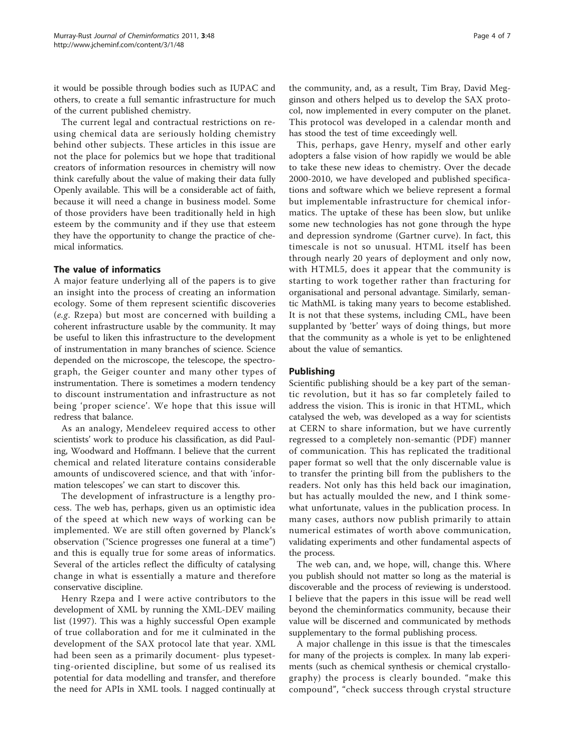it would be possible through bodies such as IUPAC and others, to create a full semantic infrastructure for much of the current published chemistry.

The current legal and contractual restrictions on reusing chemical data are seriously holding chemistry behind other subjects. These articles in this issue are not the place for polemics but we hope that traditional creators of information resources in chemistry will now think carefully about the value of making their data fully Openly available. This will be a considerable act of faith, because it will need a change in business model. Some of those providers have been traditionally held in high esteem by the community and if they use that esteem they have the opportunity to change the practice of chemical informatics.

#### The value of informatics

A major feature underlying all of the papers is to give an insight into the process of creating an information ecology. Some of them represent scientific discoveries (e.g. Rzepa) but most are concerned with building a coherent infrastructure usable by the community. It may be useful to liken this infrastructure to the development of instrumentation in many branches of science. Science depended on the microscope, the telescope, the spectrograph, the Geiger counter and many other types of instrumentation. There is sometimes a modern tendency to discount instrumentation and infrastructure as not being 'proper science'. We hope that this issue will redress that balance.

As an analogy, Mendeleev required access to other scientists' work to produce his classification, as did Pauling, Woodward and Hoffmann. I believe that the current chemical and related literature contains considerable amounts of undiscovered science, and that with 'information telescopes' we can start to discover this.

The development of infrastructure is a lengthy process. The web has, perhaps, given us an optimistic idea of the speed at which new ways of working can be implemented. We are still often governed by Planck's observation ("Science progresses one funeral at a time") and this is equally true for some areas of informatics. Several of the articles reflect the difficulty of catalysing change in what is essentially a mature and therefore conservative discipline.

Henry Rzepa and I were active contributors to the development of XML by running the XML-DEV mailing list (1997). This was a highly successful Open example of true collaboration and for me it culminated in the development of the SAX protocol late that year. XML had been seen as a primarily document- plus typesetting-oriented discipline, but some of us realised its potential for data modelling and transfer, and therefore the need for APIs in XML tools. I nagged continually at

the community, and, as a result, Tim Bray, David Megginson and others helped us to develop the SAX protocol, now implemented in every computer on the planet. This protocol was developed in a calendar month and has stood the test of time exceedingly well.

This, perhaps, gave Henry, myself and other early adopters a false vision of how rapidly we would be able to take these new ideas to chemistry. Over the decade 2000-2010, we have developed and published specifications and software which we believe represent a formal but implementable infrastructure for chemical informatics. The uptake of these has been slow, but unlike some new technologies has not gone through the hype and depression syndrome (Gartner curve). In fact, this timescale is not so unusual. HTML itself has been through nearly 20 years of deployment and only now, with HTML5, does it appear that the community is starting to work together rather than fracturing for organisational and personal advantage. Similarly, semantic MathML is taking many years to become established. It is not that these systems, including CML, have been supplanted by 'better' ways of doing things, but more that the community as a whole is yet to be enlightened about the value of semantics.

#### Publishing

Scientific publishing should be a key part of the semantic revolution, but it has so far completely failed to address the vision. This is ironic in that HTML, which catalysed the web, was developed as a way for scientists at CERN to share information, but we have currently regressed to a completely non-semantic (PDF) manner of communication. This has replicated the traditional paper format so well that the only discernable value is to transfer the printing bill from the publishers to the readers. Not only has this held back our imagination, but has actually moulded the new, and I think somewhat unfortunate, values in the publication process. In many cases, authors now publish primarily to attain numerical estimates of worth above communication, validating experiments and other fundamental aspects of the process.

The web can, and, we hope, will, change this. Where you publish should not matter so long as the material is discoverable and the process of reviewing is understood. I believe that the papers in this issue will be read well beyond the cheminformatics community, because their value will be discerned and communicated by methods supplementary to the formal publishing process.

A major challenge in this issue is that the timescales for many of the projects is complex. In many lab experiments (such as chemical synthesis or chemical crystallography) the process is clearly bounded. "make this compound", "check success through crystal structure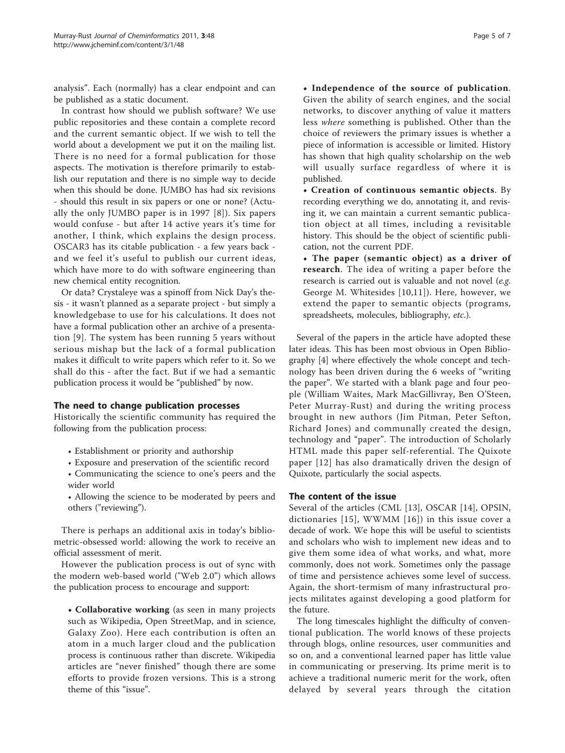analysis". Each (normally) has a clear endpoint and can be published as a static document.

In contrast how should we publish software? We use public repositories and these contain a complete record and the current semantic object. If we wish to tell the world about a development we put it on the mailing list. There is no need for a formal publication for those aspects. The motivation is therefore primarily to establish our reputation and there is no simple way to decide when this should be done. JUMBO has had six revisions - should this result in six papers or one or none? (Actually the only JUMBO paper is in 1997 [\[8\]](#page-6-0)). Six papers would confuse - but after 14 active years it's time for another, I think, which explains the design process. OSCAR3 has its citable publication - a few years back and we feel it's useful to publish our current ideas, which have more to do with software engineering than new chemical entity recognition.

Or data? Crystaleye was a spinoff from Nick Day's thesis - it wasn't planned as a separate project - but simply a knowledgebase to use for his calculations. It does not have a formal publication other an archive of a presentation [\[9\]](#page-6-0). The system has been running 5 years without serious mishap but the lack of a formal publication makes it difficult to write papers which refer to it. So we shall do this - after the fact. But if we had a semantic publication process it would be "published" by now.

### The need to change publication processes

Historically the scientific community has required the following from the publication process:

- Establishment or priority and authorship
- Exposure and preservation of the scientific record
- Communicating the science to one's peers and the wider world
- Allowing the science to be moderated by peers and others ("reviewing").

There is perhaps an additional axis in today's bibliometric-obsessed world: allowing the work to receive an official assessment of merit.

However the publication process is out of sync with the modern web-based world ("Web 2.0") which allows the publication process to encourage and support:

• Collaborative working (as seen in many projects such as Wikipedia, Open StreetMap, and in science, Galaxy Zoo). Here each contribution is often an atom in a much larger cloud and the publication process is continuous rather than discrete. Wikipedia articles are "never finished" though there are some efforts to provide frozen versions. This is a strong theme of this "issue".

• Independence of the source of publication. Given the ability of search engines, and the social networks, to discover anything of value it matters less where something is published. Other than the choice of reviewers the primary issues is whether a piece of information is accessible or limited. History has shown that high quality scholarship on the web will usually surface regardless of where it is published.

• Creation of continuous semantic objects. By recording everything we do, annotating it, and revising it, we can maintain a current semantic publication object at all times, including a revisitable history. This should be the object of scientific publication, not the current PDF.

• The paper (semantic object) as a driver of research. The idea of writing a paper before the research is carried out is valuable and not novel (e.g. George M. Whitesides [\[10,11](#page-6-0)]). Here, however, we extend the paper to semantic objects (programs, spreadsheets, molecules, bibliography, etc.).

Several of the papers in the article have adopted these later ideas. This has been most obvious in Open Bibliography [[4\]](#page-5-0) where effectively the whole concept and technology has been driven during the 6 weeks of "writing the paper". We started with a blank page and four people (William Waites, Mark MacGillivray, Ben O'Steen, Peter Murray-Rust) and during the writing process brought in new authors (Jim Pitman, Peter Sefton, Richard Jones) and communally created the design, technology and "paper". The introduction of Scholarly HTML made this paper self-referential. The Quixote paper [[12\]](#page-6-0) has also dramatically driven the design of Quixote, particularly the social aspects.

### The content of the issue

Several of the articles (CML [[13](#page-6-0)], OSCAR [\[14](#page-6-0)], OPSIN, dictionaries [[15](#page-6-0)], WWMM [[16](#page-6-0)]) in this issue cover a decade of work. We hope this will be useful to scientists and scholars who wish to implement new ideas and to give them some idea of what works, and what, more commonly, does not work. Sometimes only the passage of time and persistence achieves some level of success. Again, the short-termism of many infrastructural projects militates against developing a good platform for the future.

The long timescales highlight the difficulty of conventional publication. The world knows of these projects through blogs, online resources, user communities and so on, and a conventional learned paper has little value in communicating or preserving. Its prime merit is to achieve a traditional numeric merit for the work, often delayed by several years through the citation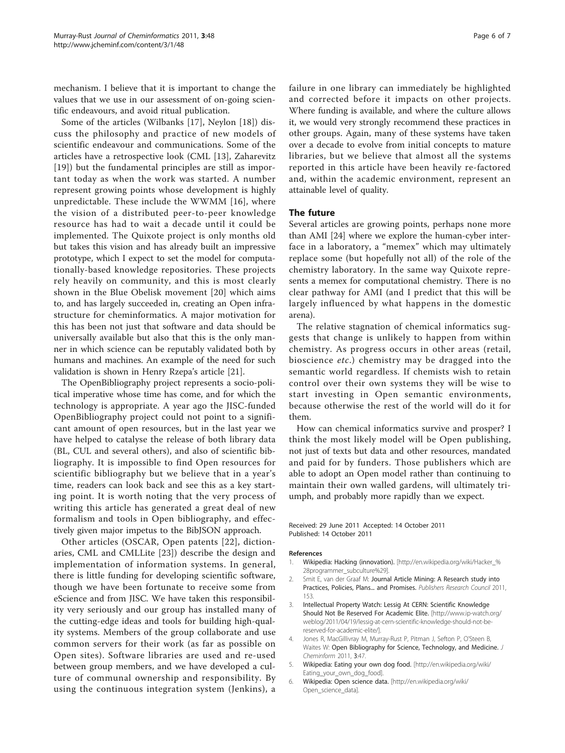<span id="page-5-0"></span>mechanism. I believe that it is important to change the values that we use in our assessment of on-going scientific endeavours, and avoid ritual publication.

Some of the articles (Wilbanks [[17](#page-6-0)], Neylon [[18](#page-6-0)]) discuss the philosophy and practice of new models of scientific endeavour and communications. Some of the articles have a retrospective look (CML [[13](#page-6-0)], Zaharevitz [[19](#page-6-0)]) but the fundamental principles are still as important today as when the work was started. A number represent growing points whose development is highly unpredictable. These include the WWMM [[16](#page-6-0)], where the vision of a distributed peer-to-peer knowledge resource has had to wait a decade until it could be implemented. The Quixote project is only months old but takes this vision and has already built an impressive prototype, which I expect to set the model for computationally-based knowledge repositories. These projects rely heavily on community, and this is most clearly shown in the Blue Obelisk movement [\[20\]](#page-6-0) which aims to, and has largely succeeded in, creating an Open infrastructure for cheminformatics. A major motivation for this has been not just that software and data should be universally available but also that this is the only manner in which science can be reputably validated both by humans and machines. An example of the need for such validation is shown in Henry Rzepa's article [\[21\]](#page-6-0).

The OpenBibliography project represents a socio-political imperative whose time has come, and for which the technology is appropriate. A year ago the JISC-funded OpenBibliography project could not point to a significant amount of open resources, but in the last year we have helped to catalyse the release of both library data (BL, CUL and several others), and also of scientific bibliography. It is impossible to find Open resources for scientific bibliography but we believe that in a year's time, readers can look back and see this as a key starting point. It is worth noting that the very process of writing this article has generated a great deal of new formalism and tools in Open bibliography, and effectively given major impetus to the BibJSON approach.

Other articles (OSCAR, Open patents [[22](#page-6-0)], dictionaries, CML and CMLLite [\[23](#page-6-0)]) describe the design and implementation of information systems. In general, there is little funding for developing scientific software, though we have been fortunate to receive some from eScience and from JISC. We have taken this responsibility very seriously and our group has installed many of the cutting-edge ideas and tools for building high-quality systems. Members of the group collaborate and use common servers for their work (as far as possible on Open sites). Software libraries are used and re-used between group members, and we have developed a culture of communal ownership and responsibility. By using the continuous integration system (Jenkins), a failure in one library can immediately be highlighted and corrected before it impacts on other projects. Where funding is available, and where the culture allows it, we would very strongly recommend these practices in other groups. Again, many of these systems have taken over a decade to evolve from initial concepts to mature libraries, but we believe that almost all the systems reported in this article have been heavily re-factored and, within the academic environment, represent an attainable level of quality.

#### The future

Several articles are growing points, perhaps none more than AMI [[24](#page-6-0)] where we explore the human-cyber interface in a laboratory, a "memex" which may ultimately replace some (but hopefully not all) of the role of the chemistry laboratory. In the same way Quixote represents a memex for computational chemistry. There is no clear pathway for AMI (and I predict that this will be largely influenced by what happens in the domestic arena).

The relative stagnation of chemical informatics suggests that change is unlikely to happen from within chemistry. As progress occurs in other areas (retail, bioscience etc.) chemistry may be dragged into the semantic world regardless. If chemists wish to retain control over their own systems they will be wise to start investing in Open semantic environments, because otherwise the rest of the world will do it for them.

How can chemical informatics survive and prosper? I think the most likely model will be Open publishing, not just of texts but data and other resources, mandated and paid for by funders. Those publishers which are able to adopt an Open model rather than continuing to maintain their own walled gardens, will ultimately triumph, and probably more rapidly than we expect.

Received: 29 June 2011 Accepted: 14 October 2011 Published: 14 October 2011

#### References

- 1. Wikipedia: Hacking (innovation). [\[http://en.wikipedia.org/wiki/Hacker\\_%](http://en.wikipedia.org/wiki/Hacker_%28programmer_subculture%29) [28programmer\\_subculture%29](http://en.wikipedia.org/wiki/Hacker_%28programmer_subculture%29)].
- 2. Smit E, van der Graaf M: Journal Article Mining: A Research study into Practices, Policies, Plans... and Promises. Publishers Research Council 2011, 153.
- 3. Intellectual Property Watch: Lessig At CERN: Scientific Knowledge Should Not Be Reserved For Academic Elite. [\[http://www.ip-watch.org/](http://www.ip-watch.org/weblog/2011/04/19/lessig-at-cern-scientific-knowledge-should-not-be-reserved-for-academic-elite/) [weblog/2011/04/19/lessig-at-cern-scientific-knowledge-should-not-be](http://www.ip-watch.org/weblog/2011/04/19/lessig-at-cern-scientific-knowledge-should-not-be-reserved-for-academic-elite/)[reserved-for-academic-elite/\]](http://www.ip-watch.org/weblog/2011/04/19/lessig-at-cern-scientific-knowledge-should-not-be-reserved-for-academic-elite/).
- 4. Jones R, MacGillivray M, Murray-Rust P, Pitman J, Sefton P, O'Steen B, Waites W: Open Bibliography for Science, Technology, and Medicine. J Cheminform 2011, 3:47.
- Wikipedia: Eating your own dog food. [[http://en.wikipedia.org/wiki/](http://en.wikipedia.org/wiki/Eating_your_own_dog_food) [Eating\\_your\\_own\\_dog\\_food](http://en.wikipedia.org/wiki/Eating_your_own_dog_food)].
- 6. Wikipedia: Open science data. [\[http://en.wikipedia.org/wiki/](http://en.wikipedia.org/wiki/Open_science_data) [Open\\_science\\_data\]](http://en.wikipedia.org/wiki/Open_science_data).